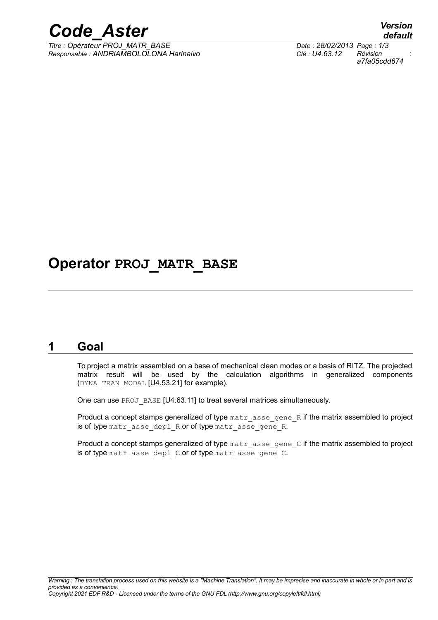

*Titre : Opérateur PROJ\_MATR\_BASE Date : 28/02/2013 Page : 1/3 Responsable : ANDRIAMBOLOLONA Harinaivo Clé : U4.63.12 Révision :*

*default a7fa05cdd674*

## **Operator PROJ\_MATR\_BASE**

### **1 Goal**

To project a matrix assembled on a base of mechanical clean modes or a basis of RITZ. The projected matrix result will be used by the calculation algorithms in generalized components (DYNA\_TRAN\_MODAL [U4.53.21] for example).

One can use PROJ\_BASE [U4.63.11] to treat several matrices simultaneously.

Product a concept stamps generalized of type matr asse gene R if the matrix assembled to project is of type matr asse depl R or of type matr asse gene R.

Product a concept stamps generalized of type  $\text{matrix}$  asseagene  $\text{C}$  if the matrix assembled to project is of type matr asse depl C or of type matr asse gene C.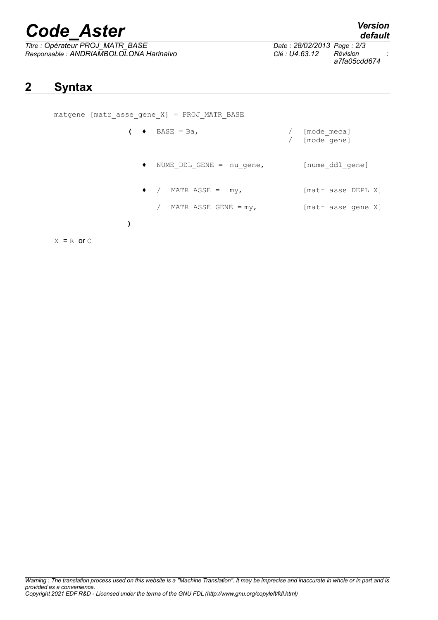# *Code\_Aster Version*

*Titre : Opérateur PROJ\_MATR\_BASE Date : 28/02/2013 Page : 2/3 Responsable : ANDRIAMBOLOLONA Harinaivo Clé : U4.63.12 Révision :*

*default*

*a7fa05cdd674*

### **2 Syntax**

| matgene [matr asse gene $X$ ] = PROJ MATR BASE |                                  |  |                            |
|------------------------------------------------|----------------------------------|--|----------------------------|
| $\bullet$                                      | $BASE = Ba,$                     |  | [mode meca]<br>[mode gene] |
| $\bullet$                                      | NUME DDL GENE = nu gene,         |  | [nume ddl gene]            |
| $\bullet$                                      | $\sqrt{2}$<br>MATR ASSE = $my$ , |  | [matr asse DEPL X]         |
|                                                | MATR ASSE GENE $=$ my,           |  | [matr asse gene X]         |
|                                                |                                  |  |                            |

 $X = R$  or  $C$